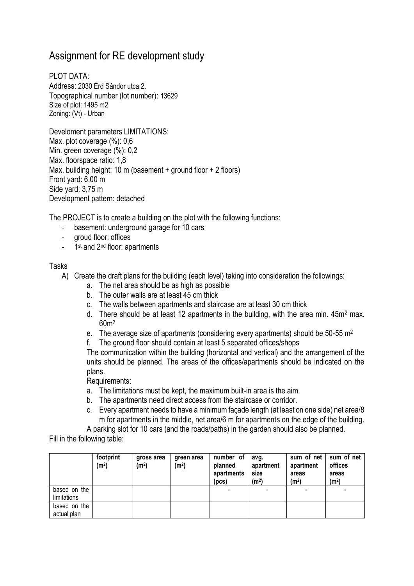## Assignment for RE development study

PI OT DATA: Address: 2030 Érd Sándor utca 2. Topographical number (lot number): 13629 Size of plot: 1495 m2 Zoning: (Vt) - Urban

Develoment parameters LIMITATIONS: Max. plot coverage (%): 0,6 Min. green coverage (%): 0,2 Max. floorspace ratio: 1,8 Max. building height: 10 m (basement + ground floor + 2 floors) Front yard: 6,00 m Side yard: 3,75 m Development pattern: detached

The PROJECT is to create a building on the plot with the following functions:

- basement: underground garage for 10 cars
- groud floor: offices
- 1<sup>st</sup> and 2<sup>nd</sup> floor: apartments

## Tasks

- A) Create the draft plans for the building (each level) taking into consideration the followings:
	- a. The net area should be as high as possible
	- b. The outer walls are at least 45 cm thick
	- c. The walls between apartments and staircase are at least 30 cm thick
	- d. There should be at least 12 apartments in the building, with the area min. 45m<sup>2</sup> max. 60m<sup>2</sup>
	- e. The average size of apartments (considering every apartments) should be 50-55 m<sup>2</sup>
	- f. The ground floor should contain at least 5 separated offices/shops

The communication within the building (horizontal and vertical) and the arrangement of the units should be planned. The areas of the offices/apartments should be indicated on the plans.

Requirements:

- a. The limitations must be kept, the maximum built-in area is the aim.
- b. The apartments need direct access from the staircase or corridor.
- c. Every apartment needs to have a minimum façade length (at least on one side) net area/8 m for apartments in the middle, net area/6 m for apartments on the edge of the building.

A parking slot for 10 cars (and the roads/paths) in the garden should also be planned. Fill in the following table:

|                             | footprint<br>(m <sup>2</sup> ) | gross area<br>(m <sup>2</sup> ) | green area<br>(m <sup>2</sup> ) | number of<br>planned<br>apartments<br>(pcs) | avq.<br>apartment<br>size<br>(m <sup>2</sup> ) | sum of net<br>apartment<br>areas<br>(m <sup>2</sup> ) | sum of net<br>offices<br>areas<br>(m <sup>2</sup> ) |
|-----------------------------|--------------------------------|---------------------------------|---------------------------------|---------------------------------------------|------------------------------------------------|-------------------------------------------------------|-----------------------------------------------------|
| based on the<br>limitations |                                |                                 |                                 |                                             |                                                |                                                       |                                                     |
| based on the<br>actual plan |                                |                                 |                                 |                                             |                                                |                                                       |                                                     |